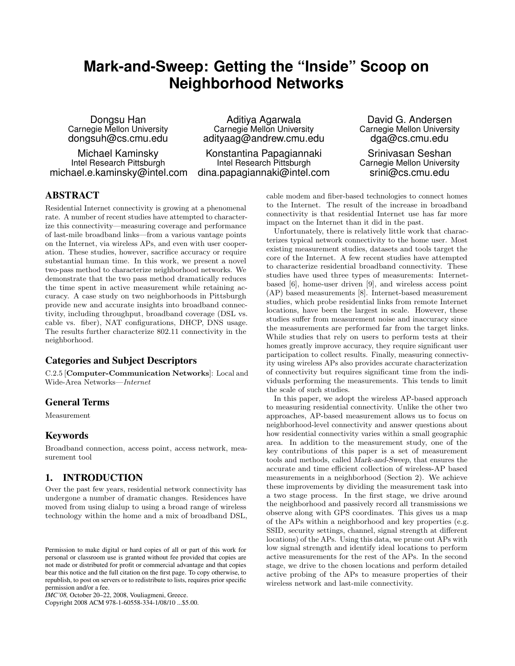# **Mark-and-Sweep: Getting the "Inside" Scoop on Neighborhood Networks**

Dongsu Han Carnegie Mellon University dongsuh@cs.cmu.edu

Michael Kaminsky Intel Research Pittsburgh michael.e.kaminsky@intel.com

Aditiya Agarwala Carnegie Mellon University adityaag@andrew.cmu.edu

Konstantina Papagiannaki Intel Research Pittsburgh dina.papagiannaki@intel.com

## David G. Andersen Carnegie Mellon University dga@cs.cmu.edu

Srinivasan Seshan Carnegie Mellon University srini@cs.cmu.edu

# ABSTRACT

Residential Internet connectivity is growing at a phenomenal rate. A number of recent studies have attempted to characterize this connectivity—measuring coverage and performance of last-mile broadband links—from a various vantage points on the Internet, via wireless APs, and even with user cooperation. These studies, however, sacrifice accuracy or require substantial human time. In this work, we present a novel two-pass method to characterize neighborhood networks. We demonstrate that the two pass method dramatically reduces the time spent in active measurement while retaining accuracy. A case study on two neighborhoods in Pittsburgh provide new and accurate insights into broadband connectivity, including throughput, broadband coverage (DSL vs. cable vs. fiber), NAT configurations, DHCP, DNS usage. The results further characterize 802.11 connectivity in the neighborhood.

## Categories and Subject Descriptors

C.2.5 [Computer-Communication Networks]: Local and Wide-Area Networks—Internet

# General Terms

Measurement

## Keywords

Broadband connection, access point, access network, measurement tool

# 1. INTRODUCTION

Over the past few years, residential network connectivity has undergone a number of dramatic changes. Residences have moved from using dialup to using a broad range of wireless technology within the home and a mix of broadband DSL,

Copyright 2008 ACM 978-1-60558-334-1/08/10 ...\$5.00.

cable modem and fiber-based technologies to connect homes to the Internet. The result of the increase in broadband connectivity is that residential Internet use has far more impact on the Internet than it did in the past.

Unfortunately, there is relatively little work that characterizes typical network connectivity to the home user. Most existing measurement studies, datasets and tools target the core of the Internet. A few recent studies have attempted to characterize residential broadband connectivity. These studies have used three types of measurements: Internetbased [6], home-user driven [9], and wireless access point (AP) based measurements [8]. Internet-based measurement studies, which probe residential links from remote Internet locations, have been the largest in scale. However, these studies suffer from measurement noise and inaccuracy since the measurements are performed far from the target links. While studies that rely on users to perform tests at their homes greatly improve accuracy, they require significant user participation to collect results. Finally, measuring connectivity using wireless APs also provides accurate characterization of connectivity but requires significant time from the individuals performing the measurements. This tends to limit the scale of such studies.

In this paper, we adopt the wireless AP-based approach to measuring residential connectivity. Unlike the other two approaches, AP-based measurement allows us to focus on neighborhood-level connectivity and answer questions about how residential connectivity varies within a small geographic area. In addition to the measurement study, one of the key contributions of this paper is a set of measurement tools and methods, called Mark-and-Sweep, that ensures the accurate and time efficient collection of wireless-AP based measurements in a neighborhood (Section 2). We achieve these improvements by dividing the measurement task into a two stage process. In the first stage, we drive around the neighborhood and passively record all transmissions we observe along with GPS coordinates. This gives us a map of the APs within a neighborhood and key properties (e.g. SSID, security settings, channel, signal strength at different locations) of the APs. Using this data, we prune out APs with low signal strength and identify ideal locations to perform active measurements for the rest of the APs. In the second stage, we drive to the chosen locations and perform detailed active probing of the APs to measure properties of their wireless network and last-mile connectivity.

Permission to make digital or hard copies of all or part of this work for personal or classroom use is granted without fee provided that copies are not made or distributed for profit or commercial advantage and that copies bear this notice and the full citation on the first page. To copy otherwise, to republish, to post on servers or to redistribute to lists, requires prior specific permission and/or a fee.

*IMC'08,* October 20–22, 2008, Vouliagmeni, Greece.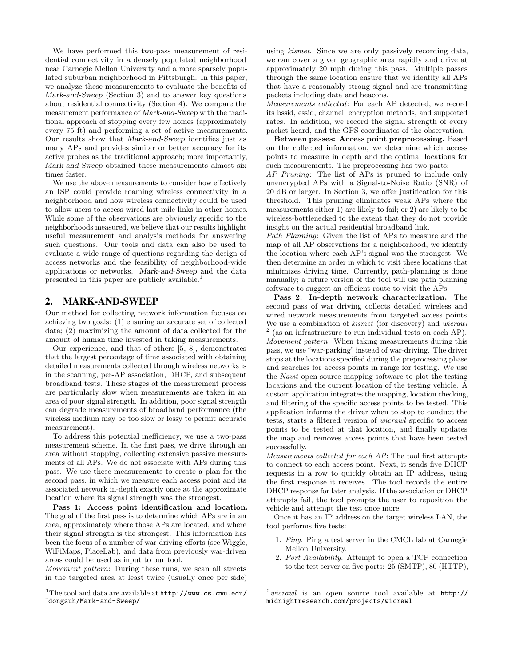We have performed this two-pass measurement of residential connectivity in a densely populated neighborhood near Carnegie Mellon University and a more sparsely populated suburban neighborhood in Pittsburgh. In this paper, we analyze these measurements to evaluate the benefits of Mark-and-Sweep (Section 3) and to answer key questions about residential connectivity (Section 4). We compare the measurement performance of Mark-and-Sweep with the traditional approach of stopping every few homes (approximately every 75 ft) and performing a set of active measurements. Our results show that Mark-and-Sweep identifies just as many APs and provides similar or better accuracy for its active probes as the traditional approach; more importantly, Mark-and-Sweep obtained these measurements almost six times faster.

We use the above measurements to consider how effectively an ISP could provide roaming wireless connectivity in a neighborhood and how wireless connectivity could be used to allow users to access wired last-mile links in other homes. While some of the observations are obviously specific to the neighborhoods measured, we believe that our results highlight useful measurement and analysis methods for answering such questions. Our tools and data can also be used to evaluate a wide range of questions regarding the design of access networks and the feasibility of neighborhood-wide applications or networks. Mark-and-Sweep and the data presented in this paper are publicly available.<sup>1</sup>

### 2. MARK-AND-SWEEP

Our method for collecting network information focuses on achieving two goals: (1) ensuring an accurate set of collected data; (2) maximizing the amount of data collected for the amount of human time invested in taking measurements.

Our experience, and that of others [5, 8], demonstrates that the largest percentage of time associated with obtaining detailed measurements collected through wireless networks is in the scanning, per-AP association, DHCP, and subsequent broadband tests. These stages of the measurement process are particularly slow when measurements are taken in an area of poor signal strength. In addition, poor signal strength can degrade measurements of broadband performance (the wireless medium may be too slow or lossy to permit accurate measurement).

To address this potential inefficiency, we use a two-pass measurement scheme. In the first pass, we drive through an area without stopping, collecting extensive passive measurements of all APs. We do not associate with APs during this pass. We use these measurements to create a plan for the second pass, in which we measure each access point and its associated network in-depth exactly once at the approximate location where its signal strength was the strongest.

Pass 1: Access point identification and location. The goal of the first pass is to determine which APs are in an area, approximately where those APs are located, and where their signal strength is the strongest. This information has been the focus of a number of war-driving efforts (see Wiggle, WiFiMaps, PlaceLab), and data from previously war-driven areas could be used as input to our tool.

Movement pattern: During these runs, we scan all streets in the targeted area at least twice (usually once per side) using kismet. Since we are only passively recording data, we can cover a given geographic area rapidly and drive at approximately 20 mph during this pass. Multiple passes through the same location ensure that we identify all APs that have a reasonably strong signal and are transmitting packets including data and beacons.

Measurements collected: For each AP detected, we record its bssid, essid, channel, encryption methods, and supported rates. In addition, we record the signal strength of every packet heard, and the GPS coordinates of the observation.

Between passes: Access point preprocessing. Based on the collected information, we determine which access points to measure in depth and the optimal locations for such measurements. The preprocessing has two parts:

AP Pruning: The list of APs is pruned to include only unencrypted APs with a Signal-to-Noise Ratio (SNR) of 20 dB or larger. In Section 3, we offer justification for this threshold. This pruning eliminates weak APs where the measurements either 1) are likely to fail; or 2) are likely to be wireless-bottlenecked to the extent that they do not provide insight on the actual residential broadband link.

Path Planning: Given the list of APs to measure and the map of all AP observations for a neighborhood, we identify the location where each AP's signal was the strongest. We then determine an order in which to visit these locations that minimizes driving time. Currently, path-planning is done manually; a future version of the tool will use path planning software to suggest an efficient route to visit the APs.

Pass 2: In-depth network characterization. The second pass of war driving collects detailed wireless and wired network measurements from targeted access points. We use a combination of *kismet* (for discovery) and *wicrawl* 2 (as an infrastructure to run individual tests on each AP). Movement pattern: When taking measurements during this pass, we use "war-parking" instead of war-driving. The driver stops at the locations specified during the preprocessing phase and searches for access points in range for testing. We use the Navit open source mapping software to plot the testing locations and the current location of the testing vehicle. A custom application integrates the mapping, location checking, and filtering of the specific access points to be tested. This application informs the driver when to stop to conduct the tests, starts a filtered version of wicrawl specific to access points to be tested at that location, and finally updates the map and removes access points that have been tested successfully.

Measurements collected for each AP: The tool first attempts to connect to each access point. Next, it sends five DHCP requests in a row to quickly obtain an IP address, using the first response it receives. The tool records the entire DHCP response for later analysis. If the association or DHCP attempts fail, the tool prompts the user to reposition the vehicle and attempt the test once more.

Once it has an IP address on the target wireless LAN, the tool performs five tests:

- 1. Ping. Ping a test server in the CMCL lab at Carnegie Mellon University.
- 2. Port Availability. Attempt to open a TCP connection to the test server on five ports: 25 (SMTP), 80 (HTTP),

 $1$ The tool and data are available at  $\texttt{http://www.cs.cmu.edu/}$ ~dongsuh/Mark-and-Sweep/

 $2wicrawl$  is an open source tool available at  $http://$ midnightresearch.com/projects/wicrawl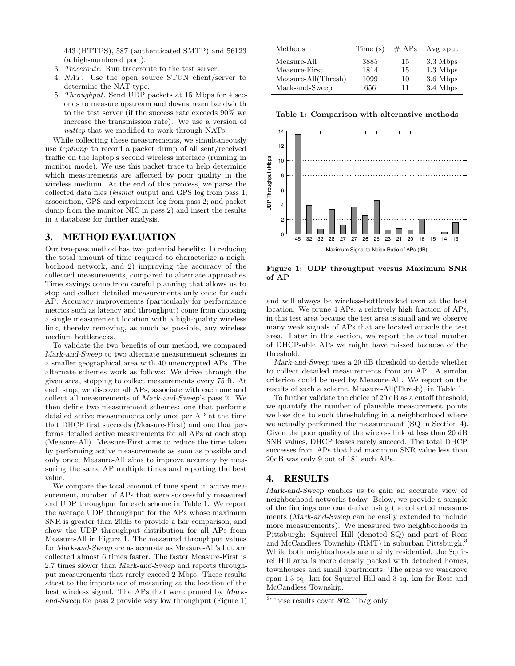443 (HTTPS), 587 (authenticated SMTP) and 56123 (a high-numbered port).

- 3. Traceroute. Run traceroute to the test server.
- 4. NAT. Use the open source STUN client/server to determine the NAT type.
- 5. Throughput. Send UDP packets at 15 Mbps for 4 seconds to measure upstream and downstream bandwidth to the test server (if the success rate exceeds 90% we increase the transmission rate). We use a version of nuttcp that we modified to work through NATs.

While collecting these measurements, we simultaneously use tcpdump to record a packet dump of all sent/received traffic on the laptop's second wireless interface (running in monitor mode). We use this packet trace to help determine which measurements are affected by poor quality in the wireless medium. At the end of this process, we parse the collected data files (kismet output and GPS log from pass 1; association, GPS and experiment log from pass 2; and packet dump from the monitor NIC in pass 2) and insert the results in a database for further analysis.

## 3. METHOD EVALUATION

Our two-pass method has two potential benefits: 1) reducing the total amount of time required to characterize a neighborhood network, and 2) improving the accuracy of the collected measurements, compared to alternate approaches. Time savings come from careful planning that allows us to stop and collect detailed measurements only once for each AP. Accuracy improvements (particularly for performance metrics such as latency and throughput) come from choosing a single measurement location with a high-quality wireless link, thereby removing, as much as possible, any wireless medium bottlenecks.

To validate the two benefits of our method, we compared Mark-and-Sweep to two alternate measurement schemes in a smaller geographical area with 40 unencrypted APs. The alternate schemes work as follows: We drive through the given area, stopping to collect measurements every 75 ft. At each stop, we discover all APs, associate with each one and collect all measurements of Mark-and-Sweep's pass 2. We then define two measurement schemes: one that performs detailed active measurements only once per AP at the time that DHCP first succeeds (Measure-First) and one that performs detailed active measurements for all APs at each stop (Measure-All). Measure-First aims to reduce the time taken by performing active measurements as soon as possible and only once; Measure-All aims to improve accuracy by measuring the same AP multiple times and reporting the best value.

We compare the total amount of time spent in active measurement, number of APs that were successfully measured and UDP throughput for each scheme in Table 1. We report the average UDP throughput for the APs whose maximum SNR is greater than 20dB to provide a fair comparison, and show the UDP throughput distribution for all APs from Measure-All in Figure 1. The measured throughput values for Mark-and-Sweep are as accurate as Measure-All's but are collected almost 6 times faster. The faster Measure-First is 2.7 times slower than Mark-and-Sweep and reports throughput measurements that rarely exceed 2 Mbps. These results attest to the importance of measuring at the location of the best wireless signal. The APs that were pruned by Markand-Sweep for pass 2 provide very low throughput (Figure 1)

| Methods             | Time (s) |    | $\#$ APs Avg xput |
|---------------------|----------|----|-------------------|
| Measure-All         | 3885     | 15 | 3.3 Mbps          |
| Measure-First       | 1814     | 15 | 1.3 Mbps          |
| Measure-All(Thresh) | 1099     | 10 | 3.6 Mbps          |
| Mark-and-Sweep      | 656      | 11 | 3.4 Mbps          |

Table 1: Comparison with alternative methods



Figure 1: UDP throughput versus Maximum SNR of AP

and will always be wireless-bottlenecked even at the best location. We prune 4 APs, a relatively high fraction of APs, in this test area because the test area is small and we observe many weak signals of APs that are located outside the test area. Later in this section, we report the actual number of DHCP-able APs we might have missed because of the threshold.

Mark-and-Sweep uses a 20 dB threshold to decide whether to collect detailed measurements from an AP. A similar criterion could be used by Measure-All. We report on the results of such a scheme, Measure-All(Thresh), in Table 1.

To further validate the choice of 20 dB as a cutoff threshold, we quantify the number of plausible measurement points we lose due to such thresholding in a neighborhood where we actually performed the measurement (SQ in Section 4). Given the poor quality of the wireless link at less than 20 dB SNR values, DHCP leases rarely succeed. The total DHCP successes from APs that had maximum SNR value less than 20dB was only 9 out of 181 such APs.

## 4. RESULTS

Mark-and-Sweep enables us to gain an accurate view of neighborhood networks today. Below, we provide a sample of the findings one can derive using the collected measurements (Mark-and-Sweep can be easily extended to include more measurements). We measured two neighborhoods in Pittsburgh: Squirrel Hill (denoted SQ) and part of Ross and McCandless Township (RMT) in suburban Pittsburgh.<sup>3</sup> While both neighborhoods are mainly residential, the Squirrel Hill area is more densely packed with detached homes, townhouses and small apartments. The areas we wardrove span 1.3 sq. km for Squirrel Hill and 3 sq. km for Ross and McCandless Township.

<sup>&</sup>lt;sup>3</sup>These results cover  $802.11b/g$  only.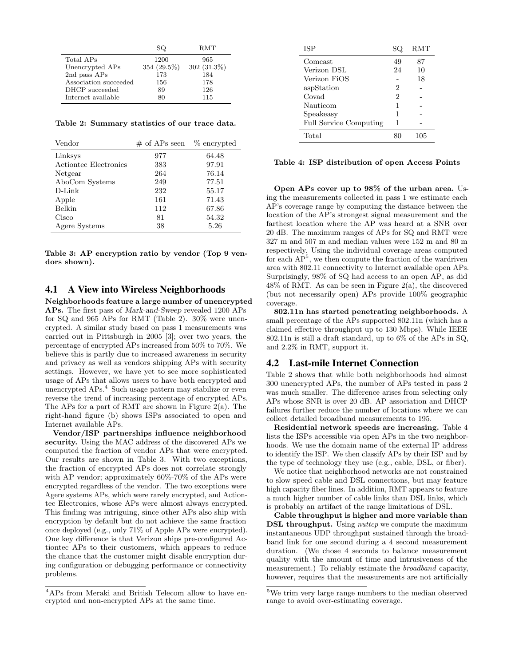|                       | SQ          | RMT           |
|-----------------------|-------------|---------------|
| Total APs             | 1200        | 965           |
| Unencrypted APs       | 354 (29.5%) | $302(31.3\%)$ |
| 2nd pass APs          | 173         | 184           |
| Association succeeded | 156         | 178           |
| DHCP succeeded        | 89          | 126           |
| Internet available    | 80          | 115           |

Table 2: Summary statistics of our trace data.

| Vendor                | $#$ of APs seen | % encrypted |
|-----------------------|-----------------|-------------|
| Linksys               | 977             | 64.48       |
| Actiontec Electronics | 383             | 97.91       |
| Netgear               | 264             | 76.14       |
| AboCom Systems        | 249             | 77.51       |
| D-Link                | 232             | 55.17       |
| Apple                 | 161             | 71.43       |
| Belkin                | 112             | 67.86       |
| Cisco                 | 81              | 54.32       |
| Agere Systems         | 38              | 5.26        |

Table 3: AP encryption ratio by vendor (Top 9 vendors shown).

#### 4.1 A View into Wireless Neighborhoods

Neighborhoods feature a large number of unencrypted APs. The first pass of Mark-and-Sweep revealed 1200 APs for SQ and 965 APs for RMT (Table 2). 30% were unencrypted. A similar study based on pass 1 measurements was carried out in Pittsburgh in 2005 [3]; over two years, the percentage of encrypted APs increased from 50% to 70%. We believe this is partly due to increased awareness in security and privacy as well as vendors shipping APs with security settings. However, we have yet to see more sophisticated usage of APs that allows users to have both encrypted and unencrypted APs.<sup>4</sup> Such usage pattern may stabilize or even reverse the trend of increasing percentage of encrypted APs. The APs for a part of RMT are shown in Figure 2(a). The right-hand figure (b) shows ISPs associated to open and Internet available APs.

Vendor/ISP partnerships influence neighborhood security. Using the MAC address of the discovered APs we computed the fraction of vendor APs that were encrypted. Our results are shown in Table 3. With two exceptions, the fraction of encrypted APs does not correlate strongly with AP vendor; approximately 60%-70% of the APs were encrypted regardless of the vendor. The two exceptions were Agere systems APs, which were rarely encrypted, and Actiontec Electronics, whose APs were almost always encrypted. This finding was intriguing, since other APs also ship with encryption by default but do not achieve the same fraction once deployed (e.g., only 71% of Apple APs were encrypted). One key difference is that Verizon ships pre-configured Actiontec APs to their customers, which appears to reduce the chance that the customer might disable encryption during configuration or debugging performance or connectivity problems.

| ISP                           |    | <b>RMT</b> |
|-------------------------------|----|------------|
| Comcast                       | 49 | 87         |
| Verizon DSL                   | 24 | 10         |
| Verizon FiOS                  |    | 18         |
| aspStation                    | 2  |            |
| Covad                         | 2  |            |
| Nauticom                      | 1  |            |
| Speakeasy                     |    |            |
| <b>Full Service Computing</b> | 1  |            |
| Total                         |    | 105        |

Table 4: ISP distribution of open Access Points

Open APs cover up to 98% of the urban area. Using the measurements collected in pass 1 we estimate each AP's coverage range by computing the distance between the location of the AP's strongest signal measurement and the farthest location where the AP was heard at a SNR over 20 dB. The maximum ranges of APs for SQ and RMT were 327 m and 507 m and median values were 152 m and 80 m respectively. Using the individual coverage areas computed for each  $AP<sup>5</sup>$ , we then compute the fraction of the wardriven area with 802.11 connectivity to Internet available open APs. Surprisingly, 98% of SQ had access to an open AP, as did 48% of RMT. As can be seen in Figure 2(a), the discovered (but not necessarily open) APs provide 100% geographic coverage.

802.11n has started penetrating neighborhoods. A small percentage of the APs supported 802.11n (which has a claimed effective throughput up to 130 Mbps). While IEEE 802.11n is still a draft standard, up to 6% of the APs in SQ, and 2.2% in RMT, support it.

#### 4.2 Last-mile Internet Connection

Table 2 shows that while both neighborhoods had almost 300 unencrypted APs, the number of APs tested in pass 2 was much smaller. The difference arises from selecting only APs whose SNR is over 20 dB. AP association and DHCP failures further reduce the number of locations where we can collect detailed broadband measurements to 195.

Residential network speeds are increasing. Table 4 lists the ISPs accessible via open APs in the two neighborhoods. We use the domain name of the external IP address to identify the ISP. We then classify APs by their ISP and by the type of technology they use (e.g., cable, DSL, or fiber).

We notice that neighborhood networks are not constrained to slow speed cable and DSL connections, but may feature high capacity fiber lines. In addition, RMT appears to feature a much higher number of cable links than DSL links, which is probably an artifact of the range limitations of DSL.

Cable throughput is higher and more variable than **DSL throughput.** Using *nuttep* we compute the maximum instantaneous UDP throughput sustained through the broadband link for one second during a 4 second measurement duration. (We chose 4 seconds to balance measurement quality with the amount of time and intrusiveness of the measurement.) To reliably estimate the broadband capacity, however, requires that the measurements are not artificially

<sup>4</sup>APs from Meraki and British Telecom allow to have encrypted and non-encrypted APs at the same time.

<sup>5</sup>We trim very large range numbers to the median observed range to avoid over-estimating coverage.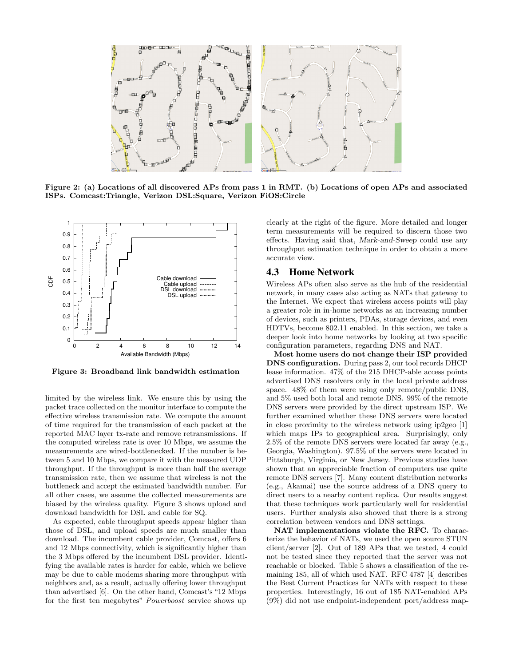

Figure 2: (a) Locations of all discovered APs from pass 1 in RMT. (b) Locations of open APs and associated ISPs. Comcast:Triangle, Verizon DSL:Square, Verizon FiOS:Circle



Figure 3: Broadband link bandwidth estimation

limited by the wireless link. We ensure this by using the packet trace collected on the monitor interface to compute the effective wireless transmission rate. We compute the amount of time required for the transmission of each packet at the reported MAC layer tx-rate and remove retransmissions. If the computed wireless rate is over 10 Mbps, we assume the measurements are wired-bottlenecked. If the number is between 5 and 10 Mbps, we compare it with the measured UDP throughput. If the throughput is more than half the average transmission rate, then we assume that wireless is not the bottleneck and accept the estimated bandwidth number. For all other cases, we assume the collected measurements are biased by the wireless quality. Figure 3 shows upload and download bandwidth for DSL and cable for SQ.

As expected, cable throughput speeds appear higher than those of DSL, and upload speeds are much smaller than download. The incumbent cable provider, Comcast, offers 6 and 12 Mbps connectivity, which is significantly higher than the 3 Mbps offered by the incumbent DSL provider. Identifying the available rates is harder for cable, which we believe may be due to cable modems sharing more throughput with neighbors and, as a result, actually offering lower throughput than advertised [6]. On the other hand, Comcast's "12 Mbps for the first ten megabytes" Powerboost service shows up

clearly at the right of the figure. More detailed and longer term measurements will be required to discern those two effects. Having said that, Mark-and-Sweep could use any throughput estimation technique in order to obtain a more accurate view.

#### 4.3 Home Network

Wireless APs often also serve as the hub of the residential network, in many cases also acting as NATs that gateway to the Internet. We expect that wireless access points will play a greater role in in-home networks as an increasing number of devices, such as printers, PDAs, storage devices, and even HDTVs, become 802.11 enabled. In this section, we take a deeper look into home networks by looking at two specific configuration parameters, regarding DNS and NAT.

Most home users do not change their ISP provided DNS configuration. During pass 2, our tool records DHCP lease information. 47% of the 215 DHCP-able access points advertised DNS resolvers only in the local private address space. 48% of them were using only remote/public DNS, and 5% used both local and remote DNS. 99% of the remote DNS servers were provided by the direct upstream ISP. We further examined whether these DNS servers were located in close proximity to the wireless network using ip2geo [1] which maps IPs to geographical area. Surprisingly, only 2.5% of the remote DNS servers were located far away (e.g., Georgia, Washington). 97.5% of the servers were located in Pittsburgh, Virginia, or New Jersey. Previous studies have shown that an appreciable fraction of computers use quite remote DNS servers [7]. Many content distribution networks (e.g., Akamai) use the source address of a DNS query to direct users to a nearby content replica. Our results suggest that these techniques work particularly well for residential users. Further analysis also showed that there is a strong correlation between vendors and DNS settings.

NAT implementations violate the RFC. To characterize the behavior of NATs, we used the open source STUN client/server [2]. Out of 189 APs that we tested, 4 could not be tested since they reported that the server was not reachable or blocked. Table 5 shows a classification of the remaining 185, all of which used NAT. RFC 4787 [4] describes the Best Current Practices for NATs with respect to these properties. Interestingly, 16 out of 185 NAT-enabled APs (9%) did not use endpoint-independent port/address map-